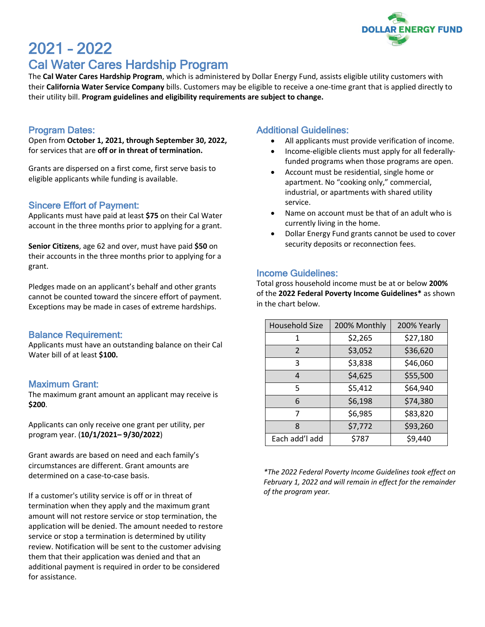

# 2021 – 2022 Cal Water Cares Hardship Program

The **Cal Water Cares Hardship Program**, which is administered by Dollar Energy Fund, assists eligible utility customers with their **California Water Service Company** bills. Customers may be eligible to receive a one-time grant that is applied directly to their utility bill. **Program guidelines and eligibility requirements are subject to change.**

#### Program Dates:

Open from **October 1, 2021, through September 30, 2022,** for services that are **off or in threat of termination.**

Grants are dispersed on a first come, first serve basis to eligible applicants while funding is available.

# Sincere Effort of Payment:

Applicants must have paid at least **\$75** on their Cal Water account in the three months prior to applying for a grant.

**Senior Citizens**, age 62 and over, must have paid **\$50** on their accounts in the three months prior to applying for a grant.

Pledges made on an applicant's behalf and other grants cannot be counted toward the sincere effort of payment. Exceptions may be made in cases of extreme hardships.

## Balance Requirement:

Applicants must have an outstanding balance on their Cal Water bill of at least **\$100.**

## Maximum Grant:

The maximum grant amount an applicant may receive is **\$200**.

Applicants can only receive one grant per utility, per program year. (**10/1/2021– 9/30/2022**)

Grant awards are based on need and each family's circumstances are different. Grant amounts are determined on a case-to-case basis.

If a customer's utility service is off or in threat of termination when they apply and the maximum grant amount will not restore service or stop termination, the application will be denied. The amount needed to restore service or stop a termination is determined by utility review. Notification will be sent to the customer advising them that their application was denied and that an additional payment is required in order to be considered for assistance.

## Additional Guidelines:

- All applicants must provide verification of income.
- Income-eligible clients must apply for all federallyfunded programs when those programs are open.
- Account must be residential, single home or apartment. No "cooking only," commercial, industrial, or apartments with shared utility service.
- Name on account must be that of an adult who is currently living in the home.
- Dollar Energy Fund grants cannot be used to cover security deposits or reconnection fees.

## Income Guidelines:

Total gross household income must be at or below **200%**  of the **2022 Federal Poverty Income Guidelines\*** as shown in the chart below.

| <b>Household Size</b> | 200% Monthly | 200% Yearly |
|-----------------------|--------------|-------------|
| 1                     | \$2,265      | \$27,180    |
| $\mathcal{P}$         | \$3,052      | \$36,620    |
| 3                     | \$3,838      | \$46,060    |
| 4                     | \$4,625      | \$55,500    |
| 5                     | \$5,412      | \$64,940    |
| 6                     | \$6,198      | \$74,380    |
|                       | \$6,985      | \$83,820    |
| 8                     | \$7,772      | \$93,260    |
| Each add'l add        | \$787        | \$9,440     |

*\*The 2022 Federal Poverty Income Guidelines took effect on February 1, 2022 and will remain in effect for the remainder of the program year.*